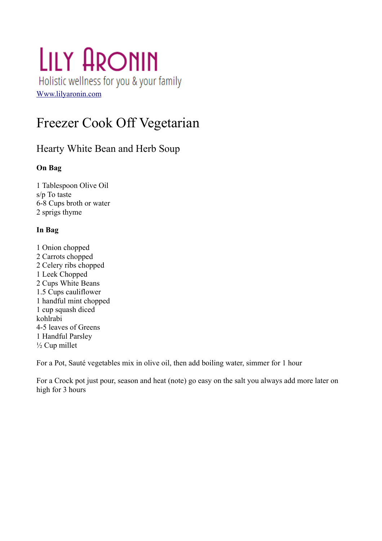# LILY ARONIN Holistic wellness for you & your family [Www.lilyaronin.com](http://Www.lilyaronin.com/)

# Freezer Cook Off Vegetarian

## Hearty White Bean and Herb Soup

## **On Bag**

1 Tablespoon Olive Oil s/p To taste 6-8 Cups broth or water 2 sprigs thyme

## **In Bag**

1 Onion chopped 2 Carrots chopped 2 Celery ribs chopped 1 Leek Chopped 2 Cups White Beans 1.5 Cups cauliflower 1 handful mint chopped 1 cup squash diced kohlrabi 4-5 leaves of Greens 1 Handful Parsley ½ Cup millet

For a Pot, Sauté vegetables mix in olive oil, then add boiling water, simmer for 1 hour

For a Crock pot just pour, season and heat (note) go easy on the salt you always add more later on high for 3 hours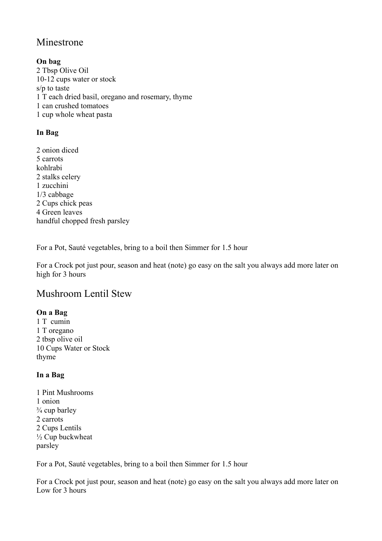## Minestrone

**On bag** 2 Tbsp Olive Oil 10-12 cups water or stock s/p to taste 1 T each dried basil, oregano and rosemary, thyme 1 can crushed tomatoes 1 cup whole wheat pasta

## **In Bag**

2 onion diced 5 carrots kohlrabi 2 stalks celery 1 zucchini 1/3 cabbage 2 Cups chick peas 4 Green leaves handful chopped fresh parsley

For a Pot, Sauté vegetables, bring to a boil then Simmer for 1.5 hour

For a Crock pot just pour, season and heat (note) go easy on the salt you always add more later on high for 3 hours

## Mushroom Lentil Stew

## **On a Bag**

1 T cumin 1 T oregano 2 tbsp olive oil 10 Cups Water or Stock thyme

## **In a Bag**

1 Pint Mushrooms 1 onion  $\frac{3}{4}$  cup barley 2 carrots 2 Cups Lentils ½ Cup buckwheat parsley

For a Pot, Sauté vegetables, bring to a boil then Simmer for 1.5 hour

For a Crock pot just pour, season and heat (note) go easy on the salt you always add more later on Low for 3 hours